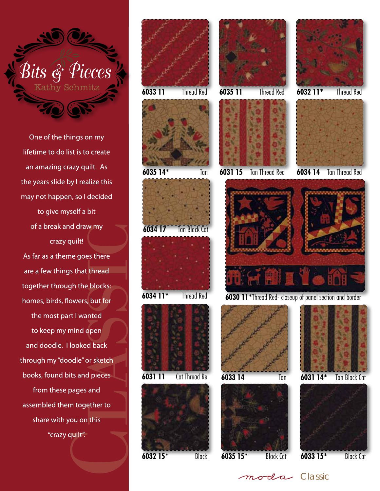

One of the things on my lifetime to do list is to create an amazing crazy quilt. As the years slide by I realize this may not happen, so I decided to give myself a bit of a break and draw my crazy quilt! As far as a theme goes there are a few things that thread together through the blocks: homes, birds, flowers, but for the most part I wanted to keep my mind open and doodle. I looked back through my "doodle" or sketch books, found bits and pieces from these pages and assembled them together to share with you on this "crazy quilt".